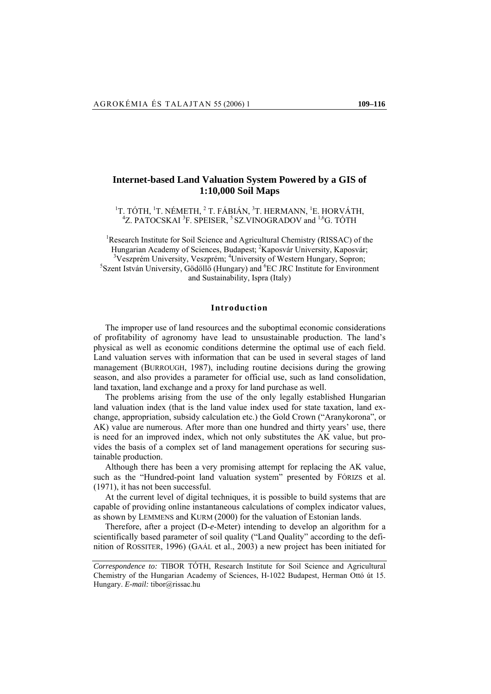# **Internet-based Land Valuation System Powered by a GIS of 1:10,000 Soil Maps**

<sup>1</sup>T. TÓTH, <sup>1</sup>T. NÉMETH, <sup>2</sup>T. FÁBIÁN, <sup>3</sup>T. HERMANN, <sup>1</sup>E. HORVÁTH, <sup>4</sup>Z. PATOCSK AJ <sup>3</sup>E. SPEISER, <sup>5</sup>SZ VINOGRADOV and <sup>1,6</sup>G. TÓTH Z. PATOCSKAI<sup>3</sup>F. SPEISER, <sup>5</sup> SZ. VINOGRADOV and <sup>1,6</sup>G. TÓTH

<sup>1</sup>Research Institute for Soil Science and Agricultural Chemistry (RISSAC) of the Hungarian Academy of Sciences, Budapest; <sup>2</sup>Kaposvár University, Kaposvár; <sup>3</sup>Vegarián University, *Naposvár*; <sup>3</sup>Veszprém University, Veszprém; <sup>4</sup>University of Western Hungary, Sopron; Szent István University, Gödöllő (Hungary) and <sup>6</sup>EC JRC Institute for Environment and Sustainability, Ispra (Italy)

# **Introduction**

The improper use of land resources and the suboptimal economic considerations of profitability of agronomy have lead to unsustainable production. The land's physical as well as economic conditions determine the optimal use of each field. Land valuation serves with information that can be used in several stages of land management (BURROUGH, 1987), including routine decisions during the growing season, and also provides a parameter for official use, such as land consolidation, land taxation, land exchange and a proxy for land purchase as well.

The problems arising from the use of the only legally established Hungarian land valuation index (that is the land value index used for state taxation, land exchange, appropriation, subsidy calculation etc.) the Gold Crown ("Aranykorona", or AK) value are numerous. After more than one hundred and thirty years' use, there is need for an improved index, which not only substitutes the AK value, but provides the basis of a complex set of land management operations for securing sustainable production.

Although there has been a very promising attempt for replacing the AK value, such as the "Hundred-point land valuation system" presented by FÓRIZS et al. (1971), it has not been successful.

At the current level of digital techniques, it is possible to build systems that are capable of providing online instantaneous calculations of complex indicator values, as shown by LEMMENS and KURM (2000) for the valuation of Estonian lands.

Therefore, after a project (D-*e*-Meter) intending to develop an algorithm for a scientifically based parameter of soil quality ("Land Quality" according to the definition of ROSSITER, 1996) (GAÁL et al., 2003) a new project has been initiated for

*Correspondence to:* TIBOR TÓTH, Research Institute for Soil Science and Agricultural Chemistry of the Hungarian Academy of Sciences, H-1022 Budapest, Herman Ottó út 15. Hungary. *E-mail:* tibor@rissac.hu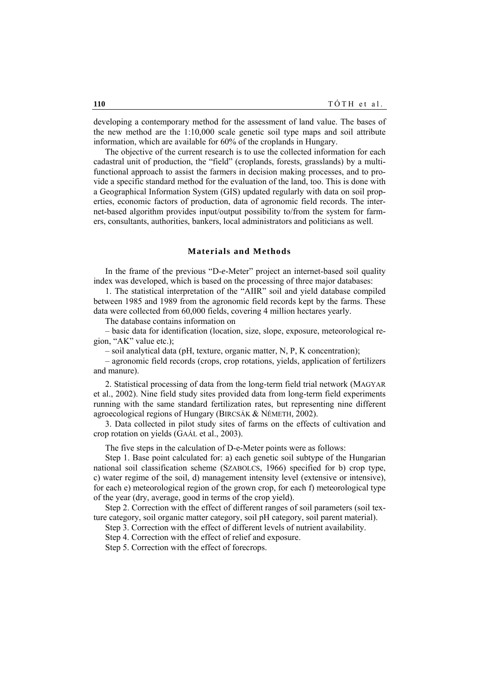developing a contemporary method for the assessment of land value. The bases of the new method are the 1:10,000 scale genetic soil type maps and soil attribute information, which are available for 60% of the croplands in Hungary.

The objective of the current research is to use the collected information for each cadastral unit of production, the "field" (croplands, forests, grasslands) by a multifunctional approach to assist the farmers in decision making processes, and to provide a specific standard method for the evaluation of the land, too. This is done with a Geographical Information System (GIS) updated regularly with data on soil properties, economic factors of production, data of agronomic field records. The internet-based algorithm provides input/output possibility to/from the system for farmers, consultants, authorities, bankers, local administrators and politicians as well.

# **Materials and Methods**

In the frame of the previous "D-*e*-Meter" project an internet-based soil quality index was developed, which is based on the processing of three major databases:

1. The statistical interpretation of the "AIIR" soil and yield database compiled between 1985 and 1989 from the agronomic field records kept by the farms. These data were collected from 60,000 fields, covering 4 million hectares yearly.

The database contains information on

– basic data for identification (location, size, slope, exposure, meteorological region, "AK" value etc.);

– soil analytical data (pH, texture, organic matter, N, P, K concentration);

– agronomic field records (crops, crop rotations, yields, application of fertilizers and manure).

2. Statistical processing of data from the long-term field trial network (MAGYAR et al., 2002). Nine field study sites provided data from long-term field experiments running with the same standard fertilization rates, but representing nine different agroecological regions of Hungary (BIRCSÁK & NÉMETH, 2002).

3. Data collected in pilot study sites of farms on the effects of cultivation and crop rotation on yields (GAÁL et al., 2003).

The five steps in the calculation of D-e-Meter points were as follows:

Step 1. Base point calculated for: a) each genetic soil subtype of the Hungarian national soil classification scheme (SZABOLCS, 1966) specified for b) crop type, c) water regime of the soil, d) management intensity level (extensive or intensive), for each e) meteorological region of the grown crop, for each f) meteorological type of the year (dry, average, good in terms of the crop yield).

Step 2. Correction with the effect of different ranges of soil parameters (soil texture category, soil organic matter category, soil pH category, soil parent material).

Step 3. Correction with the effect of different levels of nutrient availability.

Step 4. Correction with the effect of relief and exposure.

Step 5. Correction with the effect of forecrops.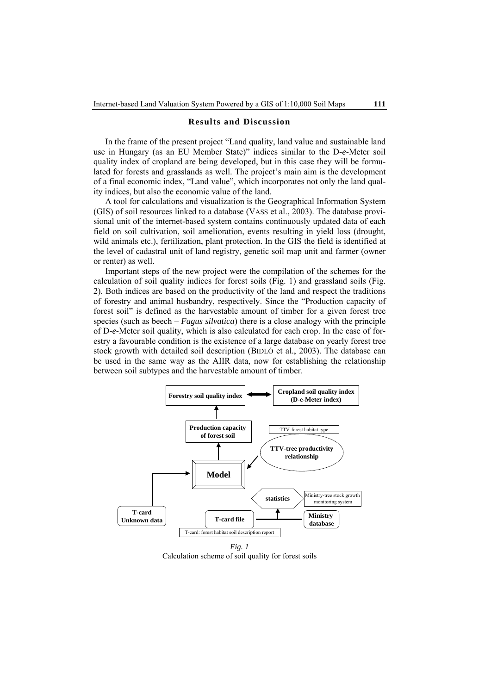#### **Results and Discussion**

In the frame of the present project "Land quality, land value and sustainable land use in Hungary (as an EU Member State)" indices similar to the D-*e*-Meter soil quality index of cropland are being developed, but in this case they will be formulated for forests and grasslands as well. The project's main aim is the development of a final economic index, "Land value", which incorporates not only the land quality indices, but also the economic value of the land.

A tool for calculations and visualization is the Geographical Information System (GIS) of soil resources linked to a database (VASS et al., 2003). The database provisional unit of the internet-based system contains continuously updated data of each field on soil cultivation, soil amelioration, events resulting in yield loss (drought, wild animals etc.), fertilization, plant protection. In the GIS the field is identified at the level of cadastral unit of land registry, genetic soil map unit and farmer (owner or renter) as well.

Important steps of the new project were the compilation of the schemes for the calculation of soil quality indices for forest soils (Fig. 1) and grassland soils (Fig. 2). Both indices are based on the productivity of the land and respect the traditions of forestry and animal husbandry, respectively. Since the "Production capacity of forest soil" is defined as the harvestable amount of timber for a given forest tree species (such as beech – *Fagus silvatica*) there is a close analogy with the principle of D-*e*-Meter soil quality, which is also calculated for each crop. In the case of forestry a favourable condition is the existence of a large database on yearly forest tree stock growth with detailed soil description (BIDLÓ et al., 2003). The database can be used in the same way as the AIIR data, now for establishing the relationship between soil subtypes and the harvestable amount of timber.



Calculation scheme of soil quality for forest soils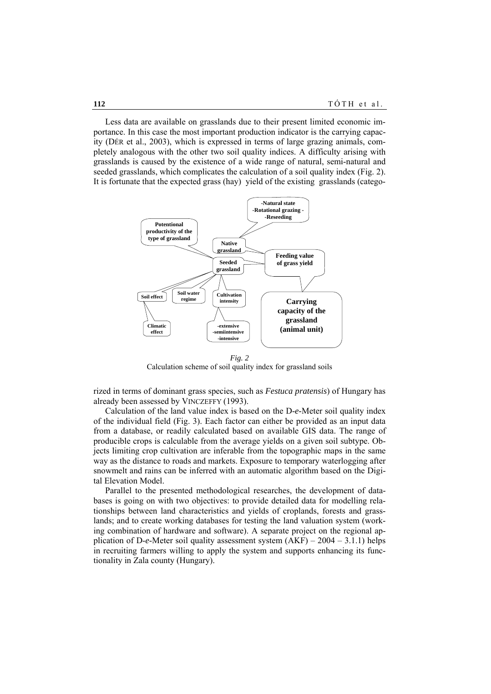Less data are available on grasslands due to their present limited economic importance. In this case the most important production indicator is the carrying capacity (DÉR et al., 2003), which is expressed in terms of large grazing animals, completely analogous with the other two soil quality indices. A difficulty arising with grasslands is caused by the existence of a wide range of natural, semi-natural and seeded grasslands, which complicates the calculation of a soil quality index (Fig. 2). It is fortunate that the expected grass (hay) yield of the existing grasslands (catego-



*Fig. 2*  Calculation scheme of soil quality index for grassland soils

rized in terms of dominant grass species, such as *Festuca pratensis*) of Hungary has already been assessed by VINCZEFFY (1993).

Calculation of the land value index is based on the D-*e*-Meter soil quality index of the individual field (Fig. 3). Each factor can either be provided as an input data from a database, or readily calculated based on available GIS data. The range of producible crops is calculable from the average yields on a given soil subtype. Objects limiting crop cultivation are inferable from the topographic maps in the same way as the distance to roads and markets. Exposure to temporary waterlogging after snowmelt and rains can be inferred with an automatic algorithm based on the Digital Elevation Model.

Parallel to the presented methodological researches, the development of databases is going on with two objectives: to provide detailed data for modelling relationships between land characteristics and yields of croplands, forests and grasslands; and to create working databases for testing the land valuation system (working combination of hardware and software). A separate project on the regional application of D-*e*-Meter soil quality assessment system (AKF) – 2004 – 3.1.1) helps in recruiting farmers willing to apply the system and supports enhancing its functionality in Zala county (Hungary).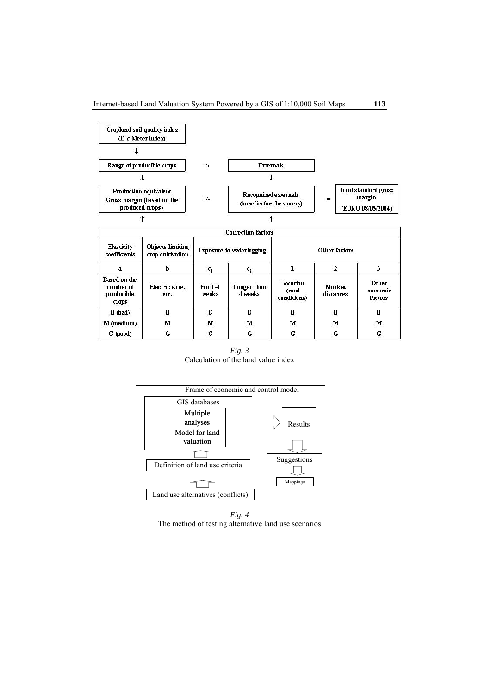

*Fig. 3*  Calculation of the land value index



*Fig. 4*  The method of testing alternative land use scenarios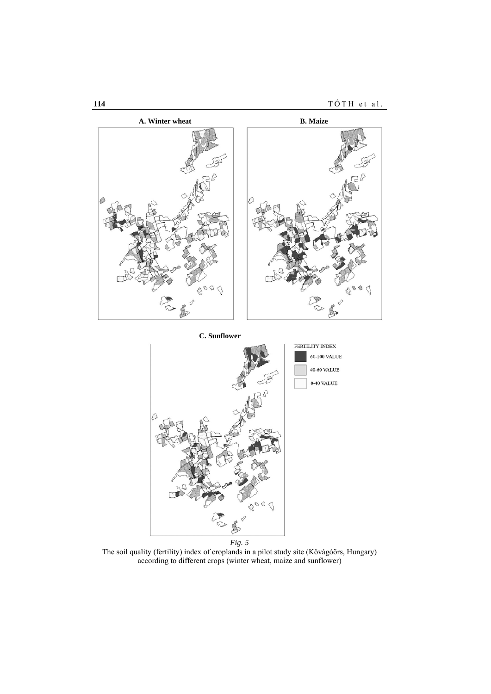

*Fig. 5*  The soil quality (fertility) index of croplands in a pilot study site (Kővágóörs, Hungary) according to different crops (winter wheat, maize and sunflower)

BOOT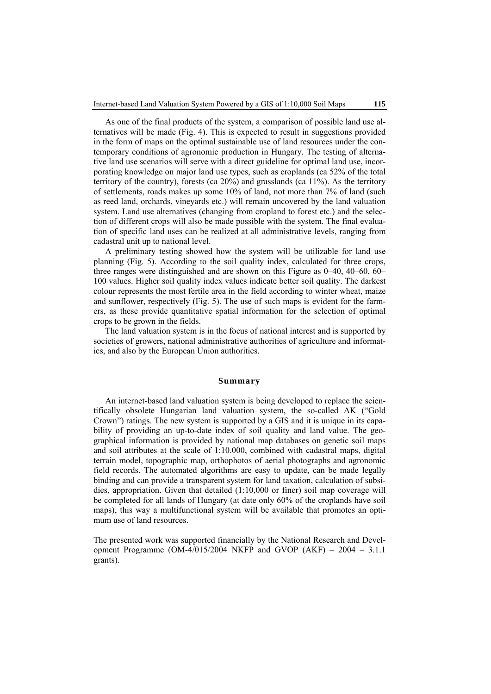As one of the final products of the system, a comparison of possible land use alternatives will be made (Fig. 4). This is expected to result in suggestions provided in the form of maps on the optimal sustainable use of land resources under the contemporary conditions of agronomic production in Hungary. The testing of alternative land use scenarios will serve with a direct guideline for optimal land use, incorporating knowledge on major land use types, such as croplands (ca 52% of the total territory of the country), forests (ca 20%) and grasslands (ca 11%). As the territory of settlements, roads makes up some 10% of land, not more than 7% of land (such as reed land, orchards, vineyards etc.) will remain uncovered by the land valuation system. Land use alternatives (changing from cropland to forest etc.) and the selection of different crops will also be made possible with the system. The final evaluation of specific land uses can be realized at all administrative levels, ranging from cadastral unit up to national level.

A preliminary testing showed how the system will be utilizable for land use planning (Fig. 5). According to the soil quality index, calculated for three crops, three ranges were distinguished and are shown on this Figure as 0–40, 40–60, 60– 100 values. Higher soil quality index values indicate better soil quality. The darkest colour represents the most fertile area in the field according to winter wheat, maize and sunflower, respectively (Fig. 5). The use of such maps is evident for the farmers, as these provide quantitative spatial information for the selection of optimal crops to be grown in the fields.

The land valuation system is in the focus of national interest and is supported by societies of growers, national administrative authorities of agriculture and informatics, and also by the European Union authorities.

## **Summary**

An internet-based land valuation system is being developed to replace the scientifically obsolete Hungarian land valuation system, the so-called AK ("Gold Crown") ratings. The new system is supported by a GIS and it is unique in its capability of providing an up-to-date index of soil quality and land value. The geographical information is provided by national map databases on genetic soil maps and soil attributes at the scale of 1:10.000, combined with cadastral maps, digital terrain model, topographic map, orthophotos of aerial photographs and agronomic field records. The automated algorithms are easy to update, can be made legally binding and can provide a transparent system for land taxation, calculation of subsidies, appropriation. Given that detailed (1:10,000 or finer) soil map coverage will be completed for all lands of Hungary (at date only 60% of the croplands have soil maps), this way a multifunctional system will be available that promotes an optimum use of land resources.

The presented work was supported financially by the National Research and Development Programme  $(OM-4/015/2004 \text{ NKFP}$  and GVOP  $(AKF) - 2004 - 3.1.1$ grants).